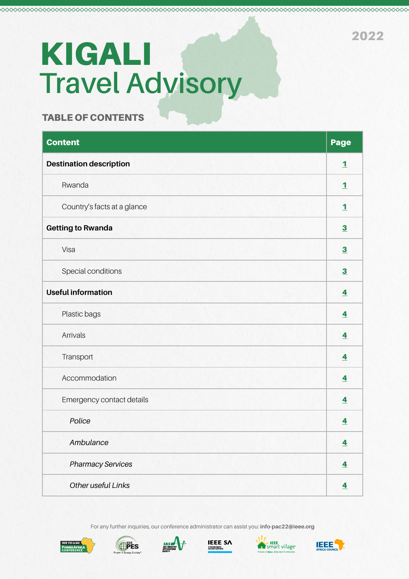# **Travel Advisory**  KIGALI

### TABLE OF CONTENTS

| <b>Content</b>                 | Page                    |
|--------------------------------|-------------------------|
| <b>Destination description</b> | $\mathbf{1}$            |
| Rwanda                         | $\mathbf{1}$            |
| Country's facts at a glance    | $\overline{\mathbf{1}}$ |
| <b>Getting to Rwanda</b>       | $\overline{\mathbf{3}}$ |
| Visa                           | $\overline{\mathbf{3}}$ |
| Special conditions             | $\overline{\mathbf{3}}$ |
| <b>Useful information</b>      | $\overline{\mathbf{A}}$ |
| Plastic bags                   | $\overline{\mathbf{4}}$ |
| Arrivals                       | $\overline{4}$          |
| Transport                      | $\overline{4}$          |
| Accommodation                  | $\overline{\mathbf{4}}$ |
| Emergency contact details      | $\overline{\mathbf{4}}$ |
| Police                         | $\overline{\mathbf{4}}$ |
| Ambulance                      | $\overline{\mathbf{4}}$ |
| <b>Pharmacy Services</b>       | $\overline{4}$          |
| Other useful Links             | $\overline{\mathbf{4}}$ |

For any further inquiries, our conference administrator can assist you: **info-pac22@ieee.org** 











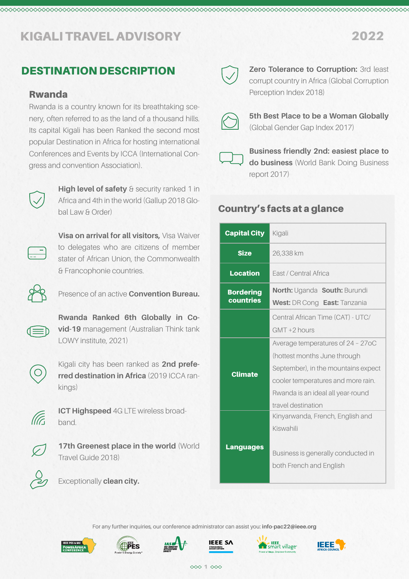# DESTINATION DESCRIPTION

### Rwanda

Rwanda is a country known for its breathtaking scenery, often referred to as the land of a thousand hills. Its capital Kigali has been Ranked the second most popular Destination in Africa for hosting international Conferences and Events by ICCA (International Congress and convention Association).



**High level of safety** & security ranked 1 in Africa and 4th in the world (Gallup 2018 Global Law & Order)



**Visa on arrival for all visitors,** Visa Waiver to delegates who are citizens of member stater of African Union, the Commonwealth & Francophonie countries.



Presence of an active **Convention Bureau.**

**Rwanda Ranked 6th Globally in Covid-19** management (Australian Think tank LOWY institute, 2021)



Kigali city has been ranked as **2nd preferred destination in Africa** (2019 ICCA rankings)



**ICT Highspeed** 4G LTE wireless broadband.



**17th Greenest place in the world (World** Travel Guide 2018)



Exceptionally **clean city.**



<span id="page-1-0"></span>

**Zero Tolerance to Corruption:** 3rd least corrupt country in Africa (Global Corruption Perception Index 2018)



**5th Best Place to be a Woman Globally** (Global Gender Gap Index 2017)



**Business friendly 2nd: easiest place to do business** (World Bank Doing Business report 2017)

# Country's facts at a glance

| <b>Capital City</b>           | Kigali                                                                                                                                                                                                    |  |  |
|-------------------------------|-----------------------------------------------------------------------------------------------------------------------------------------------------------------------------------------------------------|--|--|
| <b>Size</b>                   | 26,338 km                                                                                                                                                                                                 |  |  |
| <b>Location</b>               | <b>Fast / Central Africa</b>                                                                                                                                                                              |  |  |
| <b>Bordering</b><br>countries | North: Uganda South: Burundi<br>West: DR Cong East: Tanzania                                                                                                                                              |  |  |
|                               | Central African Time (CAT) - UTC/<br>$GMT + 2 hours$                                                                                                                                                      |  |  |
| <b>Climate</b>                | Average temperatures of 24 - 27oC<br>(hottest months June through<br>September), in the mountains expect<br>cooler temperatures and more rain.<br>Rwanda is an ideal all year-round<br>travel destination |  |  |
| <b>Languages</b>              | Kinyarwanda, French, English and<br>Kiswahili<br>Business is generally conducted in<br>both French and English                                                                                            |  |  |

For any further inquiries, our conference administrator can assist you: **info-pac22@ieee.org** 











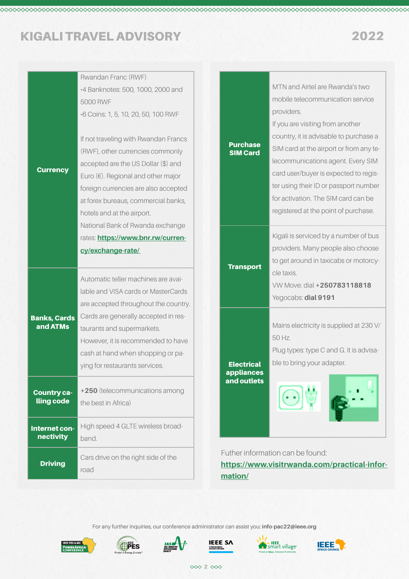**Currency** 

Banks, Cards and ATMs

| Rwandan Franc (RWF)                          |                                    |                                         |
|----------------------------------------------|------------------------------------|-----------------------------------------|
| -4 Banknotes: 500, 1000, 2000 and            |                                    | MTN and Airtel are Rwanda's two         |
| 5000 RWF                                     |                                    | mobile telecommunication service        |
| -6 Coins: 1, 5, 10, 20, 50, 100 RWF          |                                    | providers.                              |
|                                              |                                    | If you are visiting from another        |
| If not traveling with Rwandan Francs         |                                    | country, it is advisable to purchase a  |
| (RWF), other currencies commonly             | <b>Purchase</b><br><b>SIM Card</b> | SIM card at the airport or from any te- |
| accepted are the US Dollar (\$) and          |                                    | lecommunications agent. Every SIM       |
| Euro $(\epsilon)$ . Regional and other major |                                    | card user/buyer is expected to regis-   |
| foreign currencies are also accepted         |                                    | ter using their ID or passport number   |
| at forex bureaus, commercial banks,          |                                    | for activation. The SIM card can be     |
| hotels and at the airport.                   |                                    | registered at the point of purchase.    |
| National Bank of Rwanda exchange             |                                    |                                         |
| rates: https://www.bnr.rw/curren-            |                                    | Kigali is serviced by a number of bus   |
| cy/exchange-rate/                            |                                    | providers. Many people also choose      |
|                                              | <b>Transport</b>                   | to get around in taxicabs or motorcy-   |
| Automatic teller machines are avai-          |                                    | cle taxis.                              |
| lable and VISA cards or MasterCards          |                                    | VW Move: dial +250783118818             |
| are accepted throughout the country.         |                                    | Yegocabs: dial 9191                     |
|                                              |                                    |                                         |
| Cards are generally accepted in res-         |                                    | Mains electricity is supplied at 230 V/ |
| taurants and supermarkets.<br>$l$ $\alpha$   |                                    | 50 Hz.                                  |

However, it is recommended to have cash at hand when shopping or paying for restaurants services.

Country calling code **+250** (telecommunications among the best in Africa) Internet connectivity High speed 4 GLTE wireless broadband. **Driving** Cars drive on the right side of the road

Electrical appliances and outlets

Plug types: type C and G. It is advisa-

ble to bring your adapter.

Futher information can be found: **[https://www.visitrwanda.com/practical-infor](https://www.visitrwanda.com/practical-information/ )[mation/](https://www.visitrwanda.com/practical-information/ )**

For any further inquiries, our conference administrator can assist you: **info-pac22@ieee.org** 











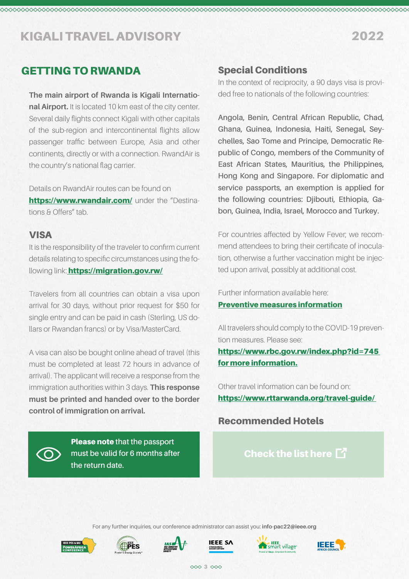## GETTING TO RWANDA

**The main airport of Rwanda is Kigali International Airport.** It is located 10 km east of the city center. Several daily flights connect Kigali with other capitals of the sub-region and intercontinental flights allow passenger traffic between Europe, Asia and other continents, directly or with a connection. RwandAir is the country's national flag carrier.

Details on RwandAir routes can be found on <https://www.rwandair.com/> under the "Destinations & Offers" tab.

### VISA

It is the responsibility of the traveler to confirm current details relating to specific circumstances using the following link: [https://migration.gov.rw/]( https://migration.gov.rw/)

Travelers from all countries can obtain a visa upon arrival for 30 days, without prior request for \$50 for single entry and can be paid in cash (Sterling, US dollars or Rwandan francs) or by Visa/MasterCard.

A visa can also be bought online ahead of travel (this must be completed at least 72 hours in advance of arrival). The applicant will receive a response from the immigration authorities within 3 days. **This response must be printed and handed over to the border control of immigration on arrival.** 

> Please note **that the passport must be valid for 6 months after**

**the return date.**

### Special Conditions

<span id="page-3-0"></span>

In the context of reciprocity, a 90 days visa is provided free to nationals of the following countries:

**Angola, Benin, Central African Republic, Chad, Ghana, Guinea, Indonesia, Haiti, Senegal, Seychelles, Sao Tome and Principe, Democratic Republic of Congo, members of the Community of East African States, Mauritius, the Philippines, Hong Kong and Singapore. For diplomatic and service passports, an exemption is applied for the following countries: Djibouti, Ethiopia, Gabon, Guinea, India, Israel, Morocco and Turkey.**

For countries affected by Yellow Fever; we recommend attendees to bring their certificate of inoculation, otherwise a further vaccination might be injected upon arrival, possibly at additional cost.

Further information available here:

### [Preventive measures information](https://www.rwandair.com/media-center/news-press-releases/following-instructions-from-the-rwanda-ministry-of-health-on-the-occurrence-of-the-yellow-fever-preventive-measures-have-been-adopted-to-protect-all-travelers-for-more-information-click-here/
)

All travelers should comply to the COVID-19 prevention measures. Please see:

[https://www.rbc.gov.rw/index.php?id=745](https://www.rbc.gov.rw/index.php?id=745 for more information.)  [for more information.](https://www.rbc.gov.rw/index.php?id=745 for more information.)

Other travel information can be found on: [https://www.rttarwanda.org/travel-guide/](https://www.rttarwanda.org/travel-guide/ ) 

### Recommended Hotels

[Check the list here]( https://ieee-powerafrica.org/recommended-hotels/)  $\mathbb{Z}$ 

For any further inquiries, our conference administrator can assist you: **info-pac22@ieee.org**